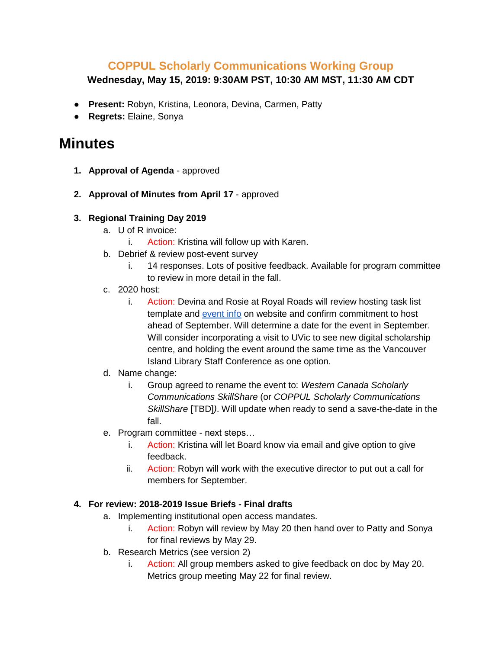## **COPPUL Scholarly Communications Working Group**

### **Wednesday, May 15, 2019: 9:30AM PST, 10:30 AM MST, 11:30 AM CDT**

- **Present:** Robyn, Kristina, Leonora, Devina, Carmen, Patty
- **Regrets:** Elaine, Sonya

# **Minutes**

- **1. Approval of Agenda**  approved
- **2. Approval of Minutes from April 17** approved
- **3. Regional Training Day 2019** 
	- a. U of R invoice:
		- i. Action: Kristina will follow up with Karen.
	- b. Debrief & review [post-event survey](https://docs.google.com/spreadsheets/d/1nAIliK4Ee60GpqVmmg_L9ct8WVQWpHbhOK4TFiqDWmM/edit?usp=sharing)
		- i. 14 responses. Lots of positive feedback. Available for program committee to review in more detail in the fall.
	- c. 2020 host:
		- i. Action: Devina and Rosie at Royal Roads will review hosting task list template and [event info](https://coppulscwg.ca/training-day/) on website and confirm commitment to host ahead of September. Will determine a date for the event in September. Will consider incorporating a visit to UVic to see new digital scholarship centre, and holding the event around the same time as the Vancouver Island Library Staff Conference as one option.
	- d. Name change:
		- i. Group agreed to rename the event to: *Western Canada Scholarly Communications SkillShare* (or *COPPUL Scholarly Communications SkillShare* [TBD]*)*. Will update when ready to send a save-the-date in the fall.
	- e. Program committee next steps…
		- i. Action: Kristina will let Board know via email and give option to give feedback.
		- ii. Action: Robyn will work with the executive director to put out a call for members for September.

#### **4. For review: 2018-2019 Issue Briefs - Final drafts**

- a. Implementing institutional open access mandates.
	- i. Action: Robyn will review by May 20 then hand over to Patty and Sonya for final reviews by May 29.
- b. Research Metrics (see version 2)
	- i. Action: All group members asked to give feedback on doc by May 20. Metrics group meeting May 22 for final review.